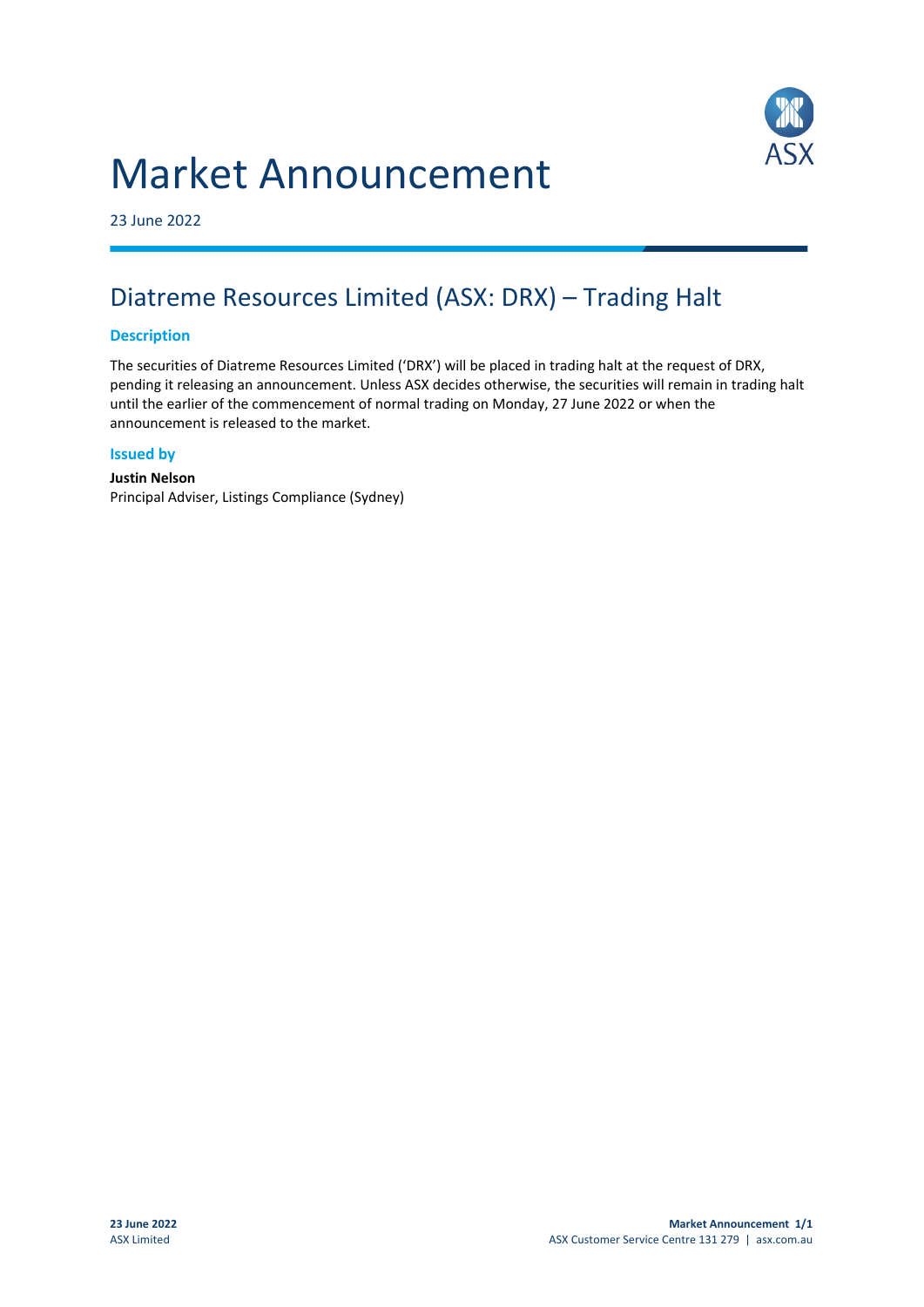# Market Announcement



23 June 2022

## Diatreme Resources Limited (ASX: DRX) – Trading Halt

#### **Description**

The securities of Diatreme Resources Limited ('DRX') will be placed in trading halt at the request of DRX, pending it releasing an announcement. Unless ASX decides otherwise, the securities will remain in trading halt until the earlier of the commencement of normal trading on Monday, 27 June 2022 or when the announcement is released to the market.

#### **Issued by**

**Justin Nelson** Principal Adviser, Listings Compliance (Sydney)